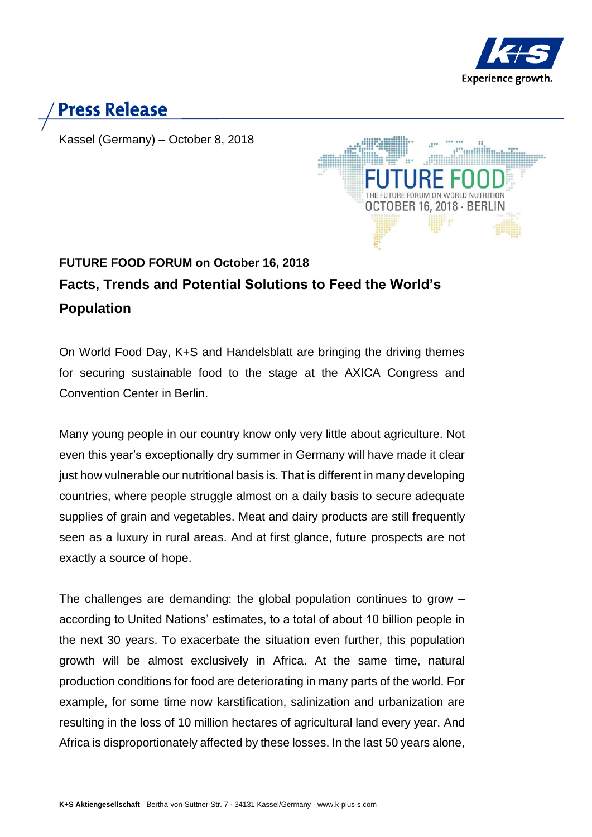

## **Press Release**

Kassel (Germany) – October 8, 2018



## **FUTURE FOOD FORUM on October 16, 2018 Facts, Trends and Potential Solutions to Feed the World's Population**

On World Food Day, K+S and Handelsblatt are bringing the driving themes for securing sustainable food to the stage at the AXICA Congress and Convention Center in Berlin.

Many young people in our country know only very little about agriculture. Not even this year's exceptionally dry summer in Germany will have made it clear just how vulnerable our nutritional basis is. That is different in many developing countries, where people struggle almost on a daily basis to secure adequate supplies of grain and vegetables. Meat and dairy products are still frequently seen as a luxury in rural areas. And at first glance, future prospects are not exactly a source of hope.

The challenges are demanding: the global population continues to grow – according to United Nations' estimates, to a total of about 10 billion people in the next 30 years. To exacerbate the situation even further, this population growth will be almost exclusively in Africa. At the same time, natural production conditions for food are deteriorating in many parts of the world. For example, for some time now karstification, salinization and urbanization are resulting in the loss of 10 million hectares of agricultural land every year. And Africa is disproportionately affected by these losses. In the last 50 years alone,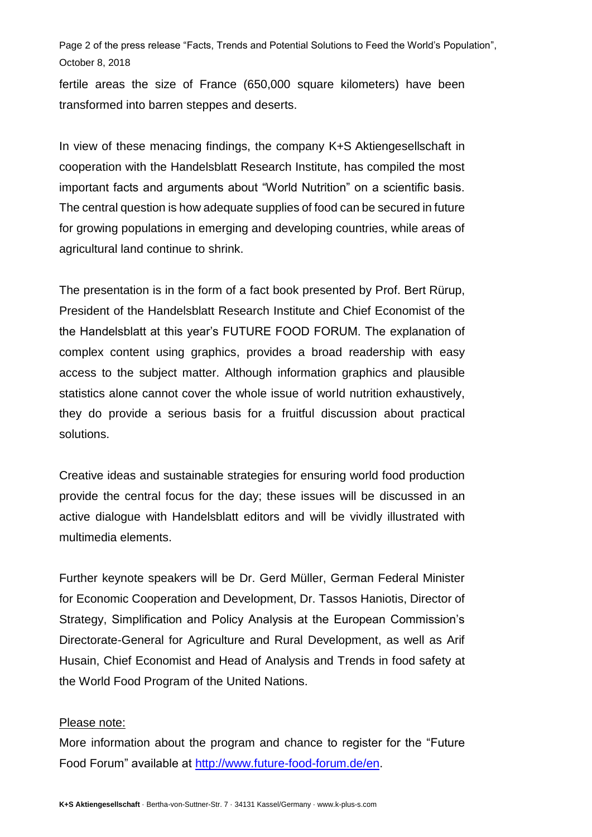Page 2 of the press release "Facts, Trends and Potential Solutions to Feed the World's Population", October 8, 2018

fertile areas the size of France (650,000 square kilometers) have been transformed into barren steppes and deserts.

In view of these menacing findings, the company K+S Aktiengesellschaft in cooperation with the Handelsblatt Research Institute, has compiled the most important facts and arguments about "World Nutrition" on a scientific basis. The central question is how adequate supplies of food can be secured in future for growing populations in emerging and developing countries, while areas of agricultural land continue to shrink.

The presentation is in the form of a fact book presented by Prof. Bert Rürup, President of the Handelsblatt Research Institute and Chief Economist of the the Handelsblatt at this year's FUTURE FOOD FORUM. The explanation of complex content using graphics, provides a broad readership with easy access to the subject matter. Although information graphics and plausible statistics alone cannot cover the whole issue of world nutrition exhaustively, they do provide a serious basis for a fruitful discussion about practical solutions.

Creative ideas and sustainable strategies for ensuring world food production provide the central focus for the day; these issues will be discussed in an active dialogue with Handelsblatt editors and will be vividly illustrated with multimedia elements.

Further keynote speakers will be Dr. Gerd Müller, German Federal Minister for Economic Cooperation and Development, Dr. Tassos Haniotis, Director of Strategy, Simplification and Policy Analysis at the European Commission's Directorate-General for Agriculture and Rural Development, as well as Arif Husain, Chief Economist and Head of Analysis and Trends in food safety at the World Food Program of the United Nations.

## Please note:

More information about the program and chance to register for the "Future Food Forum" available at [http://www.future-food-forum.de/en.](http://www.future-food-forum.de/en/index.html?hidecontainer=true)